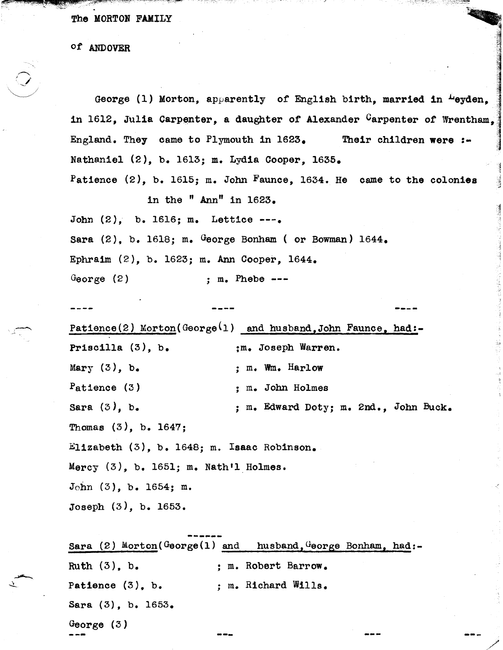The MORTON FAMILY

of ANDOVER

George (1) Morton, apparently of English birth, married in "eyden, in 1612, Julia Carpenter, a daughter of Alexander Carpenter of Wrentham. England. They came to Plymouth in  $1623_e$ Their children were :-Nathaniel (2), b. 1613; m. Lydia Cooper, 1635. Patience (2), b. 1615; m. John Faunce, 1634. He came to the colonies in the " $Ann$ " in  $1623$ . John (2), b. 1616; m. Lettice ---. Sara  $(2)$ , b. 1618; m. George Bonham (or Bowman) 1644. Ephraim (2), b. 1623; m. Ann Cooper, 1644. George  $(2)$  $: m.$  Phebe  $---$ 

Patience(2) Morton(George(1) and husband, John Faunce, had:-Priscilla  $(3)$ , b. :m. Joseph Warren. Mary  $(3)$ , b. ; m. Wm. Harlow  $P$ atience  $(3)$ : m. John Holmes Sara  $(3)$ , b. ; m. Edward Doty; m. 2nd., John Buck. Thomas  $(3)$ , b. 1647; Elizabeth (3), b. 1648; m. Isaac Robinson. Mercy  $(3)$ , b. 1651; m. Nath'l Holmes.  $John (3)$ , b. 1654; m. Joseph (3), b. 1653.

Sara (2) Morton( $G$ eorge(1) and husband,  $G$ eorge Bonham, had:-Ruth  $(3)$ , b. : m. Robert Barrow. ; m. Richard Wills. Patience  $(3)$ , b. Sara (3), b. 1653. George  $(3)$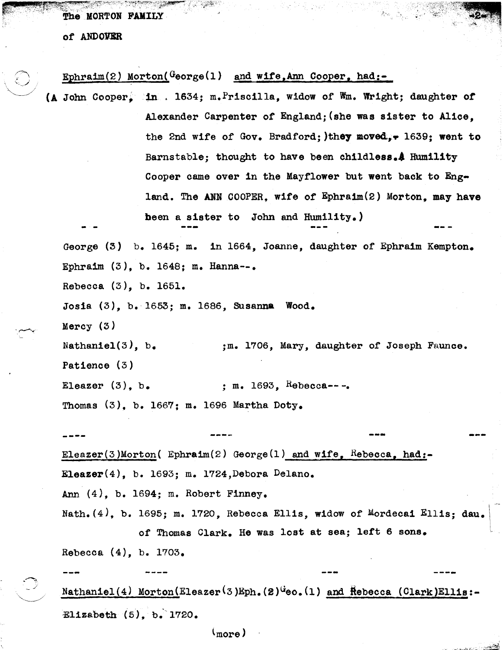The MORTON FAMILY

of ANDOVER

## Ephraim(2) Morton( $G$ eorge(1) and wife, Ann Cooper, had:-

in . 1634; m.Priscilla, widow of '1m. Wright; daughter *or*  Alexander Carpenter of England; (she was sister to Alice, the 2nd wife of Gov. Bradford; )they moved... 1639; went to Barnstable; thought to have been childless. A Humility Cooper came over in the Mayflower but went back to England. The ANN COOPER, wife of  $E_{\text{phraim}}(2)$  Morton, may have been a sister to John and Humility.)

George (3) b. 1645; m. in 1664, Joanne, daughter of Ephraim Kempton. Ephraim  $(3)$ , b. 1648; m. Hanna--.

Rebecca (3), b. 1651.

Jos1a (3), b.1653; m. 1686, Susanna Wood.

Mercy (3)

.~.

Nathaniel(3),  $b_{\bullet}$ Patience (3) ;m. 1706, Mary, daughter of Joseph Faunce.

Eleazer  $(3)$ , b. ; m. 1693, Rebecca---. Thomas (3), b. 1667; m. 1696 Martha Doty.

**----** ---

Eleazer(3)Morton( Ephraim(2) George(1) and wife, Rebecca, had:-Eleazer $(4)$ , b. 1693; m. 1724, Debora Delano.

Ann (4), b. 1694; m. Robert F1nney.

Nath.(4). b. 1695; m. 1720, Rebecca Ellis, widow of Mordecai Ellis; dau. of Thomas Clark. He was lost at sea; left 6 sons.

---

Rebecca (4), b. 1703.

Nathaniel  $(4)$  Morton(Eleazer<sup>(3)Eph.</sup>(2)<sup>G</sup>eo.(1) and  $H$ ebecca (Clark)Ellis:-Elizabeth  $(5)$ , b. 1720.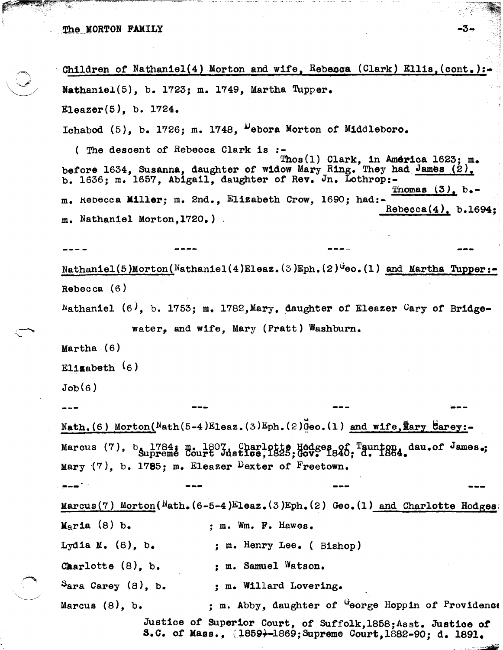$\mathcal{L}$   $\mathcal{L}$  $\bigcirc$  $\mathcal{L}$ 

Children of Nathaniel(4) Morton and wife, Rebecca (Clark) Ellis, (cont.): Nathaniel(5), b. 1723; m. 1749, Martha Tupper. Eleazer(5), b. 1724. Ichabod  $(5)$ , b. 1726; m. 1748,  $\mu$ ebora Morton of Middleboro.

( The descent of Rebecca Clark is :- Thos(1) Clark, in America 1623; m. before 1634, Susanna, daughter of widow Mary Ring. They had James (2). b. 1636; m. 1657, Abigail, daughter of Rev. Jn. Lothrop:-<br>Thomas  $(3)$ , b.m. Kebecca Mi11er; m. 2nd., Elizabeth Crow, 1690; had:- Rebecca(4), b.1694; m. Nathaniel Morton,1720.)

Nathaniel(5)Morton(Nathaniel(4)Eleaz.(3)Eph.(2) $G$ eo.(1) and Martha Tupper:-Rebecca (6)

 $Nathaniel$  (6), b. 1753; m. 1782, Mary, daughter of Eleazer Cary of Bridge-

water, and wife, Mary (Pratt) Washburn.

Martha (6)

Elizabeth (6)

 $Job(6)$ 

Nath.(6) Morton(Nath(5-4)Eleaz.(3)Eph.(2)Geo.(1) and wife,  $\frac{m}{2}$ arey:-Marcus (7),  $b_{\text{supreme}}$  1784; m. 1807. Charlotte Hodges of Taunton, dau.of James.; Mary  $(7)$ , b. 1785; m. Eleazer Dexter of Freetown.

**---** Marcus(7) Morton( $Nath.$   $(6-5-4)E$ leaz.(3)Eph.(2) Geo.(1) and Charlotte Hodges:  $M<sub>2</sub>$ ria (8) b.  $\cdot$  ; m. Wm. F. Hawes. Lydia M.  $(8)$ , b. ; m. Henry Lee. (Bishop) Charlotte  $(8)$ , b.  $\qquad \qquad ;$  m. Samuel Watson.  $S_{\text{area} \text{ George}} (8)$ , b. ; m. Willard Lovering. Marcus  $(8)$ , b.  $\qquad \qquad ; \qquad \text{m. Abby.}$  daughter of  $\overset{G}{\downarrow}$  eorge Hoppin of Providence Justice *ot* Superior Court, of Sutfolk,1858;Asst. Justice *ot*  S.C. of Mass., (1859+-1869;Supreme Court, 1882-90; d. 1891.